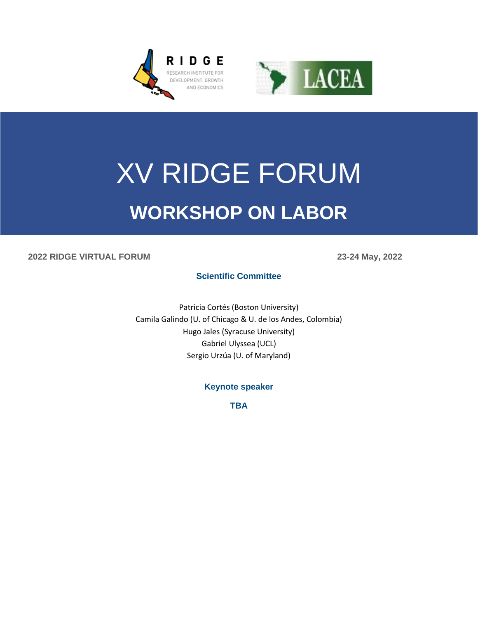



# XV RIDGE FORUM **WORKSHOP ON LABOR**

#### **2022 RIDGE VIRTUAL FORUM 23-24 May, 2022**

**Scientific Committee**

Patricia Cortés (Boston University) Camila Galindo (U. of Chicago & U. de los Andes, Colombia) Hugo Jales (Syracuse University) Gabriel Ulyssea (UCL) Sergio Urzúa (U. of Maryland)

**Keynote speaker**

**TBA**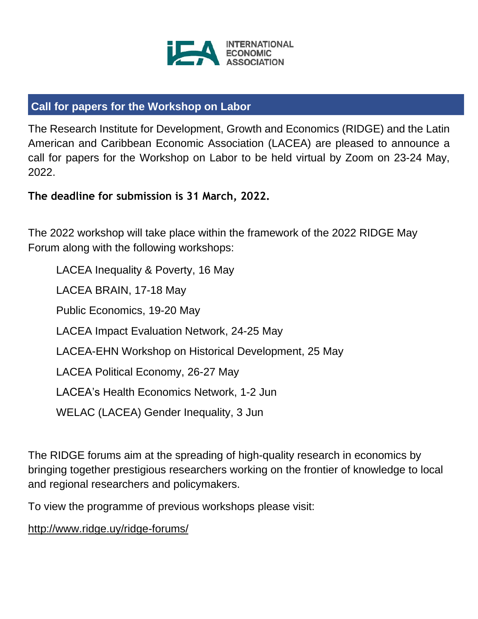

# **Call for papers for the Workshop on Labor**

The Research Institute for Development, Growth and Economics (RIDGE) and the Latin American and Caribbean Economic Association (LACEA) are pleased to announce a call for papers for the Workshop on Labor to be held virtual by Zoom on 23-24 May, 2022.

**The deadline for submission is 31 March, 2022.**

The 2022 workshop will take place within the framework of the 2022 RIDGE May Forum along with the following workshops:

LACEA Inequality & Poverty, 16 May LACEA BRAIN, 17-18 May Public Economics, 19-20 May LACEA Impact Evaluation Network, 24-25 May LACEA-EHN Workshop on Historical Development, 25 May LACEA Political Economy, 26-27 May LACEA's Health Economics Network, 1-2 Jun WELAC (LACEA) Gender Inequality, 3 Jun

The RIDGE forums aim at the spreading of high-quality research in economics by bringing together prestigious researchers working on the frontier of knowledge to local and regional researchers and policymakers.

To view the programme of previous workshops please visit:

<http://www.ridge.uy/ridge-forums/>